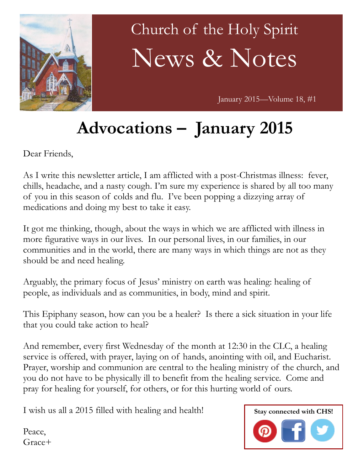

# Church of the Holy Spirit News & Notes

January 2015—Volume 18, #1

# **Advocations – January 2015**

Dear Friends,

As I write this newsletter article, I am afflicted with a post-Christmas illness: fever, chills, headache, and a nasty cough. I'm sure my experience is shared by all too many of you in this season of colds and flu. I've been popping a dizzying array of medications and doing my best to take it easy.

It got me thinking, though, about the ways in which we are afflicted with illness in more figurative ways in our lives. In our personal lives, in our families, in our communities and in the world, there are many ways in which things are not as they should be and need healing.

Arguably, the primary focus of Jesus' ministry on earth was healing: healing of people, as individuals and as communities, in body, mind and spirit.

This Epiphany season, how can you be a healer? Is there a sick situation in your life that you could take action to heal?

And remember, every first Wednesday of the month at 12:30 in the CLC, a healing service is offered, with prayer, laying on of hands, anointing with oil, and Eucharist. Prayer, worship and communion are central to the healing ministry of the church, and you do not have to be physically ill to benefit from the healing service. Come and pray for healing for yourself, for others, or for this hurting world of ours.

I wish us all a 2015 filled with healing and health!

**Stay connected with CHS!**

Peace, Grace+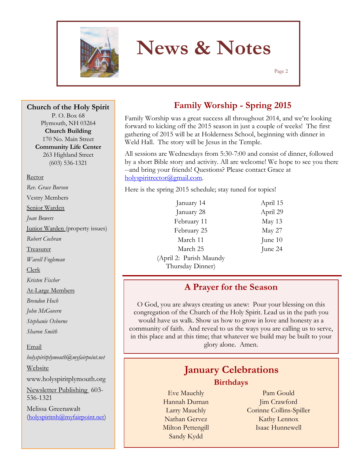

# **News & Notes**

Page 2

**Church of the Holy Spirit**

P. O. Box 68 Plymouth, NH 03264 **Church Building** 170 No. Main Street **Community Life Center** 263 Highland Street (603) 536-1321

#### Rector

*Rev. Grace Burson* Vestry Members Senior Warden *Joan Bowers* Junior Warden (property issues) *Robert Cochran* Treasurer *Wavell Fogleman* Clerk *Kristen Fischer* At-Large Members *Brendon Hoch John McGovern Stephanie Osborne Sharon Smith* Email

*holyspiritplymouth@myfairpoint.net* Website www.holyspiritplymouth.org Newsletter Publishing 603- 536-1321 Melissa Greenawalt (holyspiritnh@myfairpoint.net)

### **Family Worship - Spring 2015**

Family Worship was a great success all throughout 2014, and we're looking forward to kicking off the 2015 season in just a couple of weeks! The first gathering of 2015 will be at Holderness School, beginning with dinner in Weld Hall. The story will be Jesus in the Temple.

All sessions are Wednesdays from 5:30-7:00 and consist of dinner, followed by a short Bible story and activity. All are welcome! We hope to see you there --and bring your friends! Questions? Please contact Grace at holyspiritrector@gmail.com.

Here is the spring 2015 schedule; stay tuned for topics!

| January 14              | April 15  |
|-------------------------|-----------|
| January 28              | April 29  |
| February 11             | May 13    |
| February 25             | May 27    |
| March 11                | June $10$ |
| March 25                | June 24   |
| (April 2: Parish Maundy |           |
| Thursday Dinner)        |           |

#### **A Prayer for the Season**

O God, you are always creating us anew: Pour your blessing on this congregation of the Church of the Holy Spirit. Lead us in the path you would have us walk. Show us how to grow in love and honesty as a community of faith. And reveal to us the ways you are calling us to serve, in this place and at this time; that whatever we build may be built to your glory alone. Amen.

### **January Celebrations Birthdays**

Eve Mauchly Hannah Durnan Larry Mauchly Nathan Gervez Milton Pettengill Sandy Kydd

Pam Gould Jim Crawford Corinne Collins-Spiller Kathy Lennox Isaac Hunnewell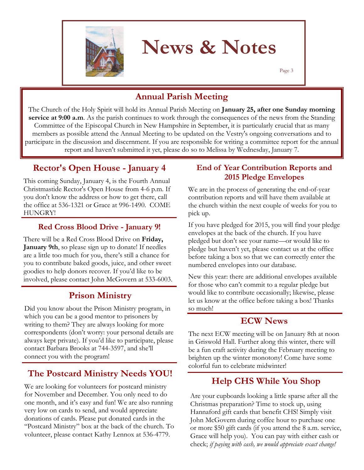

## **News & Notes**

Page 3

### **Annual Parish Meeting**

The Church of the Holy Spirit will hold its Annual Parish Meeting on **January 25, after one Sunday morning service at 9:00 a.m**. As the parish continues to work through the consequences of the news from the Standing Committee of the Episcopal Church in New Hampshire in September, it is particularly crucial that as many members as possible attend the Annual Meeting to be updated on the Vestry's ongoing conversations and to participate in the discussion and discernment. If you are responsible for writing a committee report for the annual report and haven't submitted it yet, please do so to Melissa by Wednesday, January 7.

#### **Rector's Open House - January 4**

This coming Sunday, January 4, is the Fourth Annual Christmastide Rector's Open House from 4-6 p.m. If you don't know the address or how to get there, call the office at 536-1321 or Grace at 996-1490. COME HUNGRY!

#### **Red Cross Blood Drive - January 9!**

There will be a Red Cross Blood Drive on **Friday, January 9th**, so please sign up to donate! If needles are a little too much for you, there's still a chance for you to contribute baked goods, juice, and other sweet goodies to help donors recover. If you'd like to be involved, please contact John McGovern at 533-6003.

#### **Prison Ministry**

Did you know about the Prison Ministry program, in which you can be a good mentor to prisoners by writing to them? They are always looking for more correspondents (don't worry: your personal details are always kept private). If you'd like to participate, please contact Barbara Brooks at 744-3597, and she'll connect you with the program!

#### **The Postcard Ministry Needs YOU!**

We are looking for volunteers for postcard ministry for November and December. You only need to do one month, and it's easy and fun! We are also running very low on cards to send, and would appreciate donations of cards. Please put donated cards in the "Postcard Ministry" box at the back of the church. To volunteer, please contact Kathy Lennox at 536-4779.

#### **End of Year Contribution Reports and 2015 Pledge Envelopes**

We are in the process of generating the end-of-year contribution reports and will have them available at the church within the next couple of weeks for you to pick up.

If you have pledged for 2015, you will find your pledge envelopes at the back of the church. If you have pledged but don't see your name—or would like to pledge but haven't yet, please contact us at the office before taking a box so that we can correctly enter the numbered envelopes into our database.

New this year: there are additional envelopes available for those who can't commit to a regular pledge but would like to contribute occasionally; likewise, please let us know at the office before taking a box! Thanks so much!

#### **ECW News**

The next ECW meeting will be on January 8th at noon in Griswold Hall. Further along this winter, there will be a fun craft activity during the February meeting to brighten up the winter monotony! Come have some colorful fun to celebrate midwinter!

#### **Help CHS While You Shop**

Are your cupboards looking a little sparse after all the Christmas preparation? Time to stock up, using Hannaford gift cards that benefit CHS! Simply visit John McGovern during coffee hour to purchase one or more \$50 gift cards (if you attend the 8 a.m. service, Grace will help you). You can pay with either cash or check; *if paying with cash, we would appreciate exact change!*